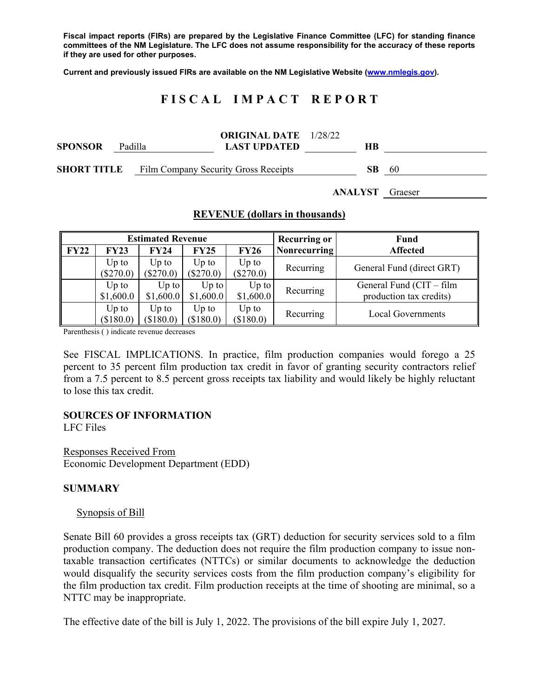**Fiscal impact reports (FIRs) are prepared by the Legislative Finance Committee (LFC) for standing finance committees of the NM Legislature. The LFC does not assume responsibility for the accuracy of these reports if they are used for other purposes.** 

**Current and previously issued FIRs are available on the NM Legislative Website (www.nmlegis.gov).** 

# **F I S C A L I M P A C T R E P O R T**

| <b>SPONSOR</b>     | Padilla |                                      | <b>ORIGINAL DATE</b> 1/28/22<br><b>LAST UPDATED</b> |  | HВ  |    |
|--------------------|---------|--------------------------------------|-----------------------------------------------------|--|-----|----|
| <b>SHORT TITLE</b> |         | Film Company Security Gross Receipts |                                                     |  | SB. | 60 |

**ANALYST** Graeser

### **REVENUE (dollars in thousands)**

| <b>Estimated Revenue</b> |             |             |             |             | <b>Recurring or</b> | <b>Fund</b>                |  |
|--------------------------|-------------|-------------|-------------|-------------|---------------------|----------------------------|--|
| <b>FY22</b>              | <b>FY23</b> | <b>FY24</b> | FY25        | <b>FY26</b> | Nonrecurring        | <b>Affected</b>            |  |
|                          | $Up$ to     | Up to       | $Up$ to     | $Up$ to     | Recurring           | General Fund (direct GRT)  |  |
|                          | $(\$270.0)$ | $(\$270.0)$ | $(\$270.0)$ | $(\$270.0)$ |                     |                            |  |
|                          | $Up$ to     | $Up$ to     | $Up$ to     | $Up$ to     |                     | General Fund $(CIT - film$ |  |
|                          | \$1,600.0   | \$1,600.0   | \$1,600.0   | \$1,600.0   | Recurring           | production tax credits)    |  |
|                          | $Up$ to     | Up to       | Up to       | $Up$ to     | Recurring           | <b>Local Governments</b>   |  |
|                          | (\$180.0)   | (\$180.0)   | (\$180.0)   | (\$180.0)   |                     |                            |  |

Parenthesis ( ) indicate revenue decreases

See FISCAL IMPLICATIONS. In practice, film production companies would forego a 25 percent to 35 percent film production tax credit in favor of granting security contractors relief from a 7.5 percent to 8.5 percent gross receipts tax liability and would likely be highly reluctant to lose this tax credit.

### **SOURCES OF INFORMATION**

LFC Files

Responses Received From Economic Development Department (EDD)

### **SUMMARY**

#### Synopsis of Bill

Senate Bill 60 provides a gross receipts tax (GRT) deduction for security services sold to a film production company. The deduction does not require the film production company to issue nontaxable transaction certificates (NTTCs) or similar documents to acknowledge the deduction would disqualify the security services costs from the film production company's eligibility for the film production tax credit. Film production receipts at the time of shooting are minimal, so a NTTC may be inappropriate.

The effective date of the bill is July 1, 2022. The provisions of the bill expire July 1, 2027.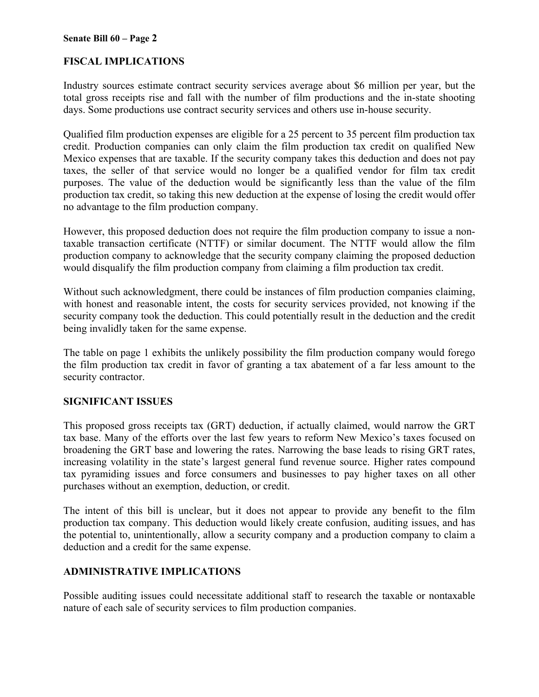#### **Senate Bill 60 – Page 2**

## **FISCAL IMPLICATIONS**

Industry sources estimate contract security services average about \$6 million per year, but the total gross receipts rise and fall with the number of film productions and the in-state shooting days. Some productions use contract security services and others use in-house security.

Qualified film production expenses are eligible for a 25 percent to 35 percent film production tax credit. Production companies can only claim the film production tax credit on qualified New Mexico expenses that are taxable. If the security company takes this deduction and does not pay taxes, the seller of that service would no longer be a qualified vendor for film tax credit purposes. The value of the deduction would be significantly less than the value of the film production tax credit, so taking this new deduction at the expense of losing the credit would offer no advantage to the film production company.

However, this proposed deduction does not require the film production company to issue a nontaxable transaction certificate (NTTF) or similar document. The NTTF would allow the film production company to acknowledge that the security company claiming the proposed deduction would disqualify the film production company from claiming a film production tax credit.

Without such acknowledgment, there could be instances of film production companies claiming, with honest and reasonable intent, the costs for security services provided, not knowing if the security company took the deduction. This could potentially result in the deduction and the credit being invalidly taken for the same expense.

The table on page 1 exhibits the unlikely possibility the film production company would forego the film production tax credit in favor of granting a tax abatement of a far less amount to the security contractor.

### **SIGNIFICANT ISSUES**

This proposed gross receipts tax (GRT) deduction, if actually claimed, would narrow the GRT tax base. Many of the efforts over the last few years to reform New Mexico's taxes focused on broadening the GRT base and lowering the rates. Narrowing the base leads to rising GRT rates, increasing volatility in the state's largest general fund revenue source. Higher rates compound tax pyramiding issues and force consumers and businesses to pay higher taxes on all other purchases without an exemption, deduction, or credit.

The intent of this bill is unclear, but it does not appear to provide any benefit to the film production tax company. This deduction would likely create confusion, auditing issues, and has the potential to, unintentionally, allow a security company and a production company to claim a deduction and a credit for the same expense.

### **ADMINISTRATIVE IMPLICATIONS**

Possible auditing issues could necessitate additional staff to research the taxable or nontaxable nature of each sale of security services to film production companies.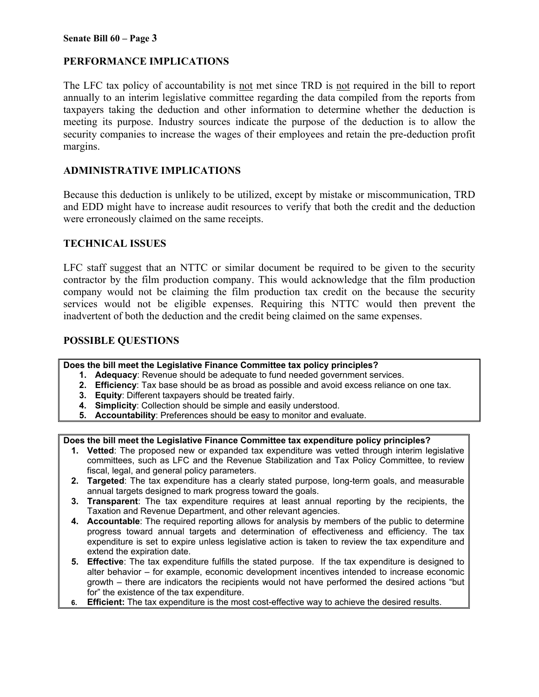## **PERFORMANCE IMPLICATIONS**

The LFC tax policy of accountability is not met since TRD is not required in the bill to report annually to an interim legislative committee regarding the data compiled from the reports from taxpayers taking the deduction and other information to determine whether the deduction is meeting its purpose. Industry sources indicate the purpose of the deduction is to allow the security companies to increase the wages of their employees and retain the pre-deduction profit margins.

## **ADMINISTRATIVE IMPLICATIONS**

Because this deduction is unlikely to be utilized, except by mistake or miscommunication, TRD and EDD might have to increase audit resources to verify that both the credit and the deduction were erroneously claimed on the same receipts.

### **TECHNICAL ISSUES**

LFC staff suggest that an NTTC or similar document be required to be given to the security contractor by the film production company. This would acknowledge that the film production company would not be claiming the film production tax credit on the because the security services would not be eligible expenses. Requiring this NTTC would then prevent the inadvertent of both the deduction and the credit being claimed on the same expenses.

### **POSSIBLE QUESTIONS**

#### **Does the bill meet the Legislative Finance Committee tax policy principles?**

- **1. Adequacy**: Revenue should be adequate to fund needed government services.
- **2. Efficiency**: Tax base should be as broad as possible and avoid excess reliance on one tax.
- **3. Equity**: Different taxpayers should be treated fairly.
- **4. Simplicity**: Collection should be simple and easily understood.
- **5. Accountability**: Preferences should be easy to monitor and evaluate.

#### **Does the bill meet the Legislative Finance Committee tax expenditure policy principles?**

- **1. Vetted**: The proposed new or expanded tax expenditure was vetted through interim legislative committees, such as LFC and the Revenue Stabilization and Tax Policy Committee, to review fiscal, legal, and general policy parameters.
- **2. Targeted**: The tax expenditure has a clearly stated purpose, long-term goals, and measurable annual targets designed to mark progress toward the goals.
- **3. Transparent**: The tax expenditure requires at least annual reporting by the recipients, the Taxation and Revenue Department, and other relevant agencies.
- **4. Accountable**: The required reporting allows for analysis by members of the public to determine progress toward annual targets and determination of effectiveness and efficiency. The tax expenditure is set to expire unless legislative action is taken to review the tax expenditure and extend the expiration date.
- **5. Effective**: The tax expenditure fulfills the stated purpose. If the tax expenditure is designed to alter behavior – for example, economic development incentives intended to increase economic growth – there are indicators the recipients would not have performed the desired actions "but for" the existence of the tax expenditure.
- **6. Efficient:** The tax expenditure is the most cost-effective way to achieve the desired results.